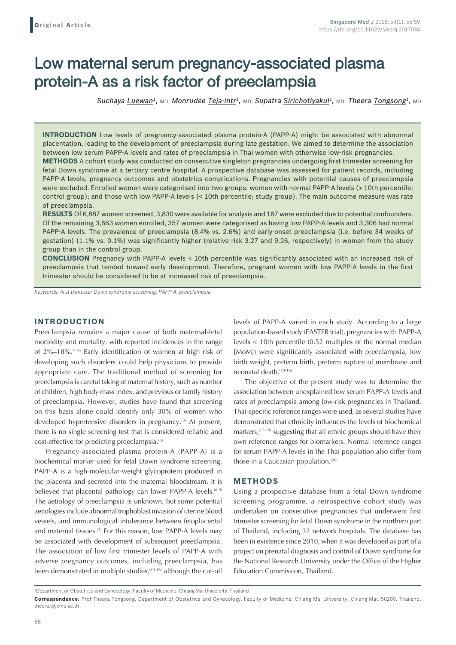# Low maternal serum pregnancy-associated plasma protein-A as a risk factor of preeclampsia

*Suchaya Luewan1,* MD, *Monrudee Teja-intr1,* MD, *Supatra Sirichotiyakul1,* MD, *Theera Tongsong1,* MD

**INTRODUCTION** Low levels of pregnancy-associated plasma protein-A (PAPP-A) might be associated with abnormal placentation, leading to the development of preeclampsia during late gestation. We aimed to determine the association between low serum PAPP-A levels and rates of preeclampsia in Thai women with otherwise low-risk pregnancies. **METHODS** A cohort study was conducted on consecutive singleton pregnancies undergoing first trimester screening for fetal Down syndrome at a tertiary centre hospital. A prospective database was assessed for patient records, including PAPP-A levels, pregnancy outcomes and obstetrics complications. Pregnancies with potential causes of preeclampsia were excluded. Enrolled women were categorised into two groups: women with normal PAPP-A levels (≥ 10th percentile; control group); and those with low PAPP-A levels (< 10th percentile; study group). The main outcome measure was rate of preeclampsia.

**RESULTS** Of 6,887 women screened, 3,830 were available for analysis and 167 were excluded due to potential confounders. Of the remaining 3,663 women enrolled, 357 women were categorised as having low PAPP-A levels and 3,306 had normal PAPP-A levels. The prevalence of preeclampsia (8.4% vs. 2.6%) and early-onset preeclampsia (i.e. before 34 weeks of gestation) (1.1% vs. 0.1%) was significantly higher (relative risk 3.27 and 9.26, respectively) in women from the study group than in the control group.

**CONCLUSION** Pregnancy with PAPP-A levels < 10th percentile was significantly associated with an increased risk of preeclampsia that tended toward early development. Therefore, pregnant women with low PAPP-A levels in the first trimester should be considered to be at increased risk of preeclampsia.

*Keywords: first trimester Down syndrome screening, PAPP-A, preeclampsia*

## **INTRODUCTION**

Preeclampsia remains a major cause of both maternal-fetal morbidity and mortality, with reported incidences in the range of 2%–18%.(1-4) Early identification of women at high risk of developing such disorders could help physicians to provide appropriate care. The traditional method of screening for preeclampsia is careful taking of maternal history, such as number of children, high body mass index, and previous or family history of preeclampsia. However, studies have found that screening on this basis alone could identify only 30% of women who developed hypertensive disorders in pregnancy.<sup>(5)</sup> At present, there is no single screening test that is considered reliable and cost-effective for predicting preeclampsia.(3)

Pregnancy-associated plasma protein-A (PAPP-A) is a biochemical marker used for fetal Down syndrome screening. PAPP-A is a high-molecular-weight glycoprotein produced in the placenta and secreted into the maternal bloodstream. It is believed that placental pathology can lower PAPP-A levels.<sup>(6-9)</sup> The aetiology of preeclampsia is unknown, but some potential aetiologies include abnormal trophoblast invasion of uterine blood vessels, and immunological intolerance between fetoplacental and maternal tissues.<sup>(3)</sup> For this reason, low PAPP-A levels may be associated with development of subsequent preeclampsia. The association of low first trimester levels of PAPP-A with adverse pregnancy outcomes, including preeclampsia, has been demonstrated in multiple studies,<sup>(10-16)</sup> although the cut-off levels of PAPP-A varied in each study. According to a large population-based study (FASTER trial), pregnancies with PAPP-A levels < 10th percentile (0.52 multiples of the normal median [MoM]) were significantly associated with preeclampsia, low birth weight, preterm birth, preterm rupture of membrane and neonatal death.(10-16)

The objective of the present study was to determine the association between unexplained low serum PAPP-A levels and rates of preeclampsia among low-risk pregnancies in Thailand. Thai-specific reference ranges were used, as several studies have demonstrated that ethnicity influences the levels of biochemical markers,<sup>(17-19)</sup> suggesting that all ethnic groups should have their own reference ranges for biomarkers. Normal reference ranges for serum PAPP-A levels in the Thai population also differ from those in a Caucasian population.<sup>(20)</sup>

## **METHODS**

Using a prospective database from a fetal Down syndrome screening programme, a retrospective cohort study was undertaken on consecutive pregnancies that underwent first trimester screening for fetal Down syndrome in the northern part of Thailand, including 32 network hospitals. The database has been in existence since 2010, when it was developed as part of a project on prenatal diagnosis and control of Down syndrome for the National Research University under the Office of the Higher Education Commission, Thailand.

<sup>1</sup> Department of Obstetrics and Gynecology, Faculty of Medicine, Chiang Mai University, Thailand

**Correspondence:** Prof Theera Tongsong, Department of Obstetrics and Gynecology, Faculty of Medicine, Chiang Mai University, Chiang Mai, 50200, Thailand. theera.t@cmu.ac.th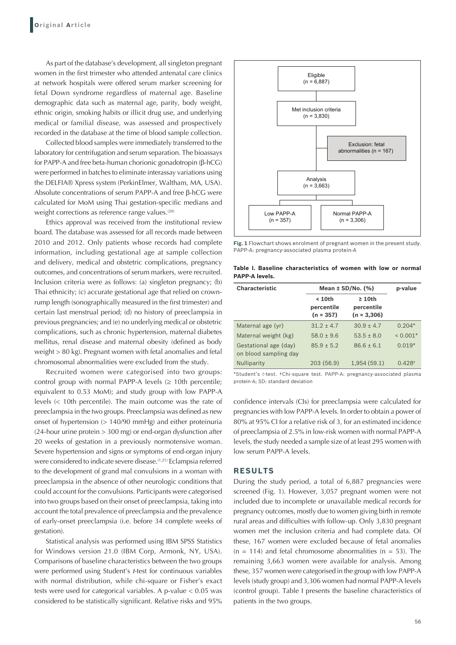As part of the database's development, all singleton pregnant women in the first trimester who attended antenatal care clinics at network hospitals were offered serum marker screening for fetal Down syndrome regardless of maternal age. Baseline demographic data such as maternal age, parity, body weight, ethnic origin, smoking habits or illicit drug use, and underlying medical or familial disease, was assessed and prospectively recorded in the database at the time of blood sample collection.

Collected blood samples were immediately transferred to the laboratory for centrifugation and serum separation. The bioassays for PAPP-A and free beta-human chorionic gonadotropin (β-hCG) were performed in batches to eliminate interassay variations using the DELFIA® Xpress system (PerkinElmer, Waltham, MA, USA). Absolute concentrations of serum PAPP-A and free β-hCG were calculated for MoM using Thai gestation-specific medians and weight corrections as reference range values.<sup>(20)</sup>

Ethics approval was received from the institutional review board. The database was assessed for all records made between 2010 and 2012. Only patients whose records had complete information, including gestational age at sample collection and delivery, medical and obstetric complications, pregnancy outcomes, and concentrations of serum markers, were recruited. Inclusion criteria were as follows: (a) singleton pregnancy; (b) Thai ethnicity; (c) accurate gestational age that relied on crownrump length (sonographically measured in the first trimester) and certain last menstrual period; (d) no history of preeclampsia in previous pregnancies; and (e) no underlying medical or obstetric complications, such as chronic hypertension, maternal diabetes mellitus, renal disease and maternal obesity (defined as body weight > 80 kg). Pregnant women with fetal anomalies and fetal chromosomal abnormalities were excluded from the study.

Recruited women were categorised into two groups: control group with normal PAPP-A levels  $(≥ 10th$  percentile; equivalent to 0.53 MoM); and study group with low PAPP-A levels (< 10th percentile). The main outcome was the rate of preeclampsia in the two groups. Preeclampsia was defined as new onset of hypertension (> 140/90 mmHg) and either proteinuria (24-hour urine protein > 300 mg) or end-organ dysfunction after 20 weeks of gestation in a previously normotensive woman. Severe hypertension and signs or symptoms of end-organ injury were considered to indicate severe disease.<sup>(1,21)</sup> Eclampsia referred to the development of grand mal convulsions in a woman with preeclampsia in the absence of other neurologic conditions that could account for the convulsions. Participants were categorised into two groups based on their onset of preeclampsia, taking into account the total prevalence of preeclampsia and the prevalence of early-onset preeclampsia (i.e. before 34 complete weeks of gestation).

Statistical analysis was performed using IBM SPSS Statistics for Windows version 21.0 (IBM Corp, Armonk, NY, USA). Comparisons of baseline characteristics between the two groups were performed using Student's *t*-test for continuous variables with normal distribution, while chi-square or Fisher's exact tests were used for categorical variables. A p-value < 0.05 was considered to be statistically significant. Relative risks and 95%



**Fig. 1** Flowchart shows enrolment of pregnant women in the present study. PAPP-A: pregnancy-associated plasma protein-A

**Table I. Baseline characteristics of women with low or normal PAPP‑A levels.**

| <b>Characteristic</b>                          | Mean $\pm$ SD/No. (%)               |                                             | p-value              |
|------------------------------------------------|-------------------------------------|---------------------------------------------|----------------------|
|                                                | $10th$<br>percentile<br>$(n = 357)$ | $\geq 10$ th<br>percentile<br>$(n = 3,306)$ |                      |
| Maternal age (yr)                              | $31.2 + 4.7$                        | $30.9 + 4.7$                                | $0.204*$             |
| Maternal weight (kg)                           | $58.0 + 9.6$                        | $53.5 + 8.0$                                | $< 0.001*$           |
| Gestational age (day)<br>on blood sampling day | $85.9 + 5.2$                        | $86.6 + 6.1$                                | $0.019*$             |
| <b>Nulliparity</b>                             | 203 (56.9)                          | 1.954(59.1)                                 | $0.428$ <sup>+</sup> |

\*Student's *t*-test. †Chi-square test. PAPP-A: pregnancy-associated plasma protein-A; SD: standard deviation

confidence intervals (CIs) for preeclampsia were calculated for pregnancies with low PAPP-A levels. In order to obtain a power of 80% at 95% CI for a relative risk of 3, for an estimated incidence of preeclampsia of 2.5% in low-risk women with normal PAPP-A levels, the study needed a sample size of at least 295 women with low serum PAPP-A levels.

## **RESULTS**

During the study period, a total of 6,887 pregnancies were screened (Fig. 1). However, 3,057 pregnant women were not included due to incomplete or unavailable medical records for pregnancy outcomes, mostly due to women giving birth in remote rural areas and difficulties with follow-up. Only 3,830 pregnant women met the inclusion criteria and had complete data. Of these, 167 women were excluded because of fetal anomalies  $(n = 114)$  and fetal chromosome abnormalities  $(n = 53)$ . The remaining 3,663 women were available for analysis. Among these, 357 women were categorised in the group with low PAPP-A levels (study group) and 3,306 women had normal PAPP-A levels (control group). Table I presents the baseline characteristics of patients in the two groups.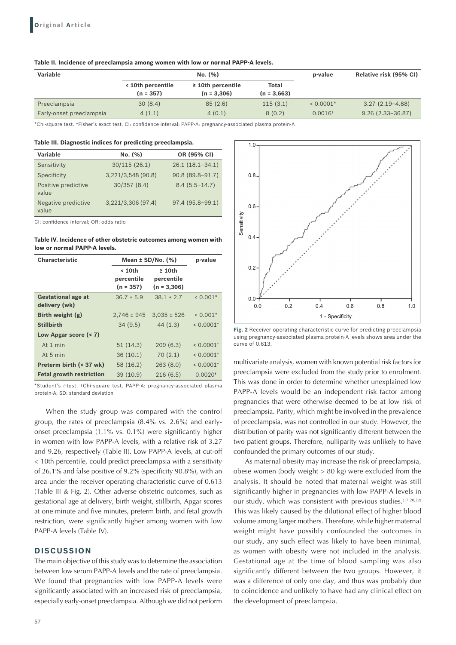#### **Table II. Incidence of preeclampsia among women with low or normal PAPP‑A levels.**

| <b>Variable</b>          | No. (%)                          |                                         | p-value                       | Relative risk (95% CI) |                      |
|--------------------------|----------------------------------|-----------------------------------------|-------------------------------|------------------------|----------------------|
|                          | < 10th percentile<br>$(n = 357)$ | $\geq$ 10th percentile<br>$(n = 3,306)$ | <b>Total</b><br>$(n = 3.663)$ |                        |                      |
| Preeclampsia             | 30(8.4)                          | 85(2.6)                                 | 115(3.1)                      | $< 0.0001*$            | $3.27(2.19-4.88)$    |
| Early-onset preeclampsia | 4(1.1)                           | 4(0.1)                                  | 8(0.2)                        | $0.0016$ <sup>+</sup>  | $9.26(2.33 - 36.87)$ |

\*Chi-square test. †Fisher's exact test. CI: confidence interval; PAPP-A: pregnancy-associated plasma protein-A

**Table III. Diagnostic indices for predicting preeclampsia.**

| Variable                     | No. (%)            | OR (95% CI)       |
|------------------------------|--------------------|-------------------|
| Sensitivity                  | 30/115(26.1)       | $26.1(18.1-34.1)$ |
| Specificity                  | 3.221/3.548(90.8)  | 90.8 (89.8-91.7)  |
| Positive predictive<br>value | 30/357(8.4)        | $8.4(5.5 - 14.7)$ |
| Negative predictive<br>value | 3,221/3,306 (97.4) | 97.4 (95.8-99.1)  |

CI: confidence interval; OR: odds ratio

**Table IV. Incidence of other obstetric outcomes among women with low or normal PAPP‑A levels.**

| <b>Characteristic</b>                      | Mean $\pm$ SD/No. (%)               | p-value                                     |                         |
|--------------------------------------------|-------------------------------------|---------------------------------------------|-------------------------|
|                                            | $10th$<br>percentile<br>$(n = 357)$ | $\geq 10$ th<br>percentile<br>$(n = 3,306)$ |                         |
| <b>Gestational age at</b><br>delivery (wk) | $36.7 \pm 5.9$                      | $38.1 \pm 2.7$                              | $< 0.001*$              |
| Birth weight $(g)$                         | $2.746 \pm 945$                     | $3.035 \pm 526$                             | $< 0.001*$              |
| <b>Stillbirth</b>                          | 34(9.5)                             | 44(1.3)                                     | $< 0.0001$ <sup>+</sup> |
| Low Apgar score (< 7)                      |                                     |                                             |                         |
| At 1 min                                   | 51(14.3)                            | 209(6.3)                                    | $< 0.0001$ <sup>+</sup> |
| At 5 min                                   | 36(10.1)                            | 70(2.1)                                     | $< 0.0001$ <sup>+</sup> |
| Preterm birth (< 37 wk)                    | 58 (16.2)                           | 263(8.0)                                    | $< 0.0001$ <sup>+</sup> |
| <b>Fetal growth restriction</b>            | 39(10.9)                            | 216(6.5)                                    | $0.0020$ <sup>+</sup>   |

\*Student's *t*-test. †Chi-square test. PAPP-A: pregnancy-associated plasma protein-A; SD: standard deviation

When the study group was compared with the control group, the rates of preeclampsia (8.4% vs. 2.6%) and earlyonset preeclampsia (1.1% vs. 0.1%) were significantly higher in women with low PAPP-A levels, with a relative risk of 3.27 and 9.26, respectively (Table II). Low PAPP-A levels, at cut-off < 10th percentile, could predict preeclampsia with a sensitivity of 26.1% and false positive of 9.2% (specificity 90.8%), with an area under the receiver operating characteristic curve of 0.613 (Table III & Fig. 2). Other adverse obstetric outcomes, such as gestational age at delivery, birth weight, stillbirth, Apgar scores at one minute and five minutes, preterm birth, and fetal growth restriction, were significantly higher among women with low PAPP-A levels (Table IV).

## **DISCUSSION**

The main objective of this study was to determine the association between low serum PAPP-A levels and the rate of preeclampsia. We found that pregnancies with low PAPP-A levels were significantly associated with an increased risk of preeclampsia, especially early-onset preeclampsia. Although we did not perform



**Fig. 2** Receiver operating characteristic curve for predicting preeclampsia using pregnancy-associated plasma protein-A levels shows area under the curve of 0.613.

multivariate analysis, women with known potential risk factors for preeclampsia were excluded from the study prior to enrolment. This was done in order to determine whether unexplained low PAPP-A levels would be an independent risk factor among pregnancies that were otherwise deemed to be at low risk of preeclampsia. Parity, which might be involved in the prevalence of preeclampsia, was not controlled in our study. However, the distribution of parity was not significantly different between the two patient groups. Therefore, nulliparity was unlikely to have confounded the primary outcomes of our study.

As maternal obesity may increase the risk of preeclampsia, obese women (body weight > 80 kg) were excluded from the analysis. It should be noted that maternal weight was still significantly higher in pregnancies with low PAPP-A levels in our study, which was consistent with previous studies.<sup>(17,20,22)</sup> This was likely caused by the dilutional effect of higher blood volume among larger mothers. Therefore, while higher maternal weight might have possibly confounded the outcomes in our study, any such effect was likely to have been minimal, as women with obesity were not included in the analysis. Gestational age at the time of blood sampling was also significantly different between the two groups. However, it was a difference of only one day, and thus was probably due to coincidence and unlikely to have had any clinical effect on the development of preeclampsia.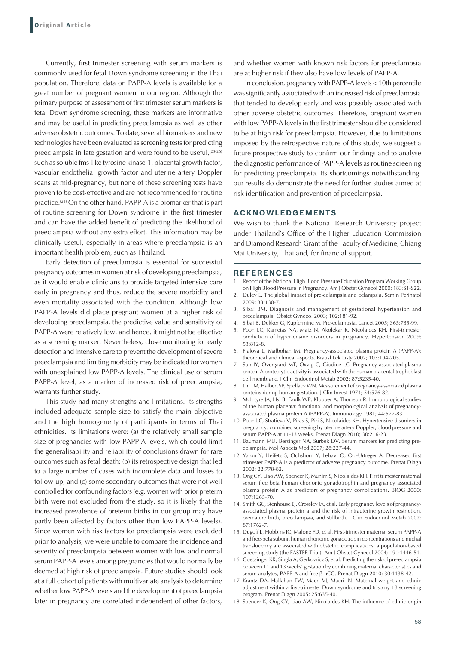Currently, first trimester screening with serum markers is commonly used for fetal Down syndrome screening in the Thai population. Therefore, data on PAPP-A levels is available for a great number of pregnant women in our region. Although the primary purpose of assessment of first trimester serum markers is fetal Down syndrome screening, these markers are informative and may be useful in predicting preeclampsia as well as other adverse obstetric outcomes. To date, several biomarkers and new technologies have been evaluated as screening tests for predicting preeclampsia in late gestation and were found to be useful,  $(23-26)$ such as soluble fms-like tyrosine kinase-1, placental growth factor, vascular endothelial growth factor and uterine artery Doppler scans at mid-pregnancy, but none of these screening tests have proven to be cost-effective and are not recommended for routine practice.(21) On the other hand, PAPP-A is a biomarker that is part of routine screening for Down syndrome in the first trimester and can have the added benefit of predicting the likelihood of preeclampsia without any extra effort. This information may be clinically useful, especially in areas where preeclampsia is an important health problem, such as Thailand.

Early detection of preeclampsia is essential for successful pregnancy outcomes in women at risk of developing preeclampsia, as it would enable clinicians to provide targeted intensive care early in pregnancy and thus, reduce the severe morbidity and even mortality associated with the condition. Although low PAPP-A levels did place pregnant women at a higher risk of developing preeclampsia, the predictive value and sensitivity of PAPP-A were relatively low, and hence, it might not be effective as a screening marker. Nevertheless, close monitoring for early detection and intensive care to prevent the development of severe preeclampsia and limiting morbidity may be indicated for women with unexplained low PAPP-A levels. The clinical use of serum PAPP-A level, as a marker of increased risk of preeclampsia, warrants further study.

This study had many strengths and limitations. Its strengths included adequate sample size to satisfy the main objective and the high homogeneity of participants in terms of Thai ethnicities. Its limitations were: (a) the relatively small sample size of pregnancies with low PAPP-A levels, which could limit the generalisability and reliability of conclusions drawn for rare outcomes such as fetal death; (b) its retrospective design that led to a large number of cases with incomplete data and losses to follow-up; and (c) some secondary outcomes that were not well controlled for confounding factors (e.g. women with prior preterm birth were not excluded from the study, so it is likely that the increased prevalence of preterm births in our group may have partly been affected by factors other than low PAPP-A levels). Since women with risk factors for preeclampsia were excluded prior to analysis, we were unable to compare the incidence and severity of preeclampsia between women with low and normal serum PAPP-A levels among pregnancies that would normally be deemed at high risk of preeclampsia. Future studies should look at a full cohort of patients with multivariate analysis to determine whether low PAPP-A levels and the development of preeclampsia later in pregnancy are correlated independent of other factors,

and whether women with known risk factors for preeclampsia are at higher risk if they also have low levels of PAPP-A.

In conclusion, pregnancy with PAPP-A levels < 10th percentile was significantly associated with an increased risk of preeclampsia that tended to develop early and was possibly associated with other adverse obstetric outcomes. Therefore, pregnant women with low PAPP-A levels in the first trimester should be considered to be at high risk for preeclampsia. However, due to limitations imposed by the retrospective nature of this study, we suggest a future prospective study to confirm our findings and to analyse the diagnostic performance of PAPP-A levels as routine screening for predicting preeclampsia. Its shortcomings notwithstanding, our results do demonstrate the need for further studies aimed at risk identification and prevention of preeclampsia.

# **ACKNOWLEDGEMENTS**

We wish to thank the National Research University project under Thailand's Office of the Higher Education Commission and Diamond Research Grant of the Faculty of Medicine, Chiang Mai University, Thailand, for financial support.

## **REFERENCES**

- 1. Report of the National High Blood Pressure Education Program Working Group on High Blood Pressure in Pregnancy. Am J Obstet Gynecol 2000; 183:S1-S22.
- 2. Duley L. The global impact of pre-eclampsia and eclampsia. Semin Perinatol 2009; 33:130-7.
- 3. Sibai BM. Diagnosis and management of gestational hypertension and preeclampsia. Obstet Gynecol 2003; 102:181-92.
- 4. Sibai B, Dekker G, Kupferminc M. Pre-eclampsia. Lancet 2005; 365:785-99.
- 5. Poon LC, Kametas NA, Maiz N, Akolekar R, Nicolaides KH. First-trimester prediction of hypertensive disorders in pregnancy. Hypertension 2009; 53:812-8.
- 6. Fialova L, Malbohan IM. Pregnancy-associated plasma protein A (PAPP-A): theoretical and clinical aspects. Bratisl Lek Listy 2002; 103:194-205.
- 7. Sun IY, Overgaard MT, Oxvig C, Giudice LC. Pregnancy-associated plasma protein A proteolytic activity is associated with the human placental trophoblast cell membrane. J Clin Endocrinol Metab 2002; 87:5235-40.
- 8. Lin TM, Halbert SP, Spellacy WN. Measurement of pregnancy-associated plasma proteins during human gestation. J Clin Invest 1974; 54:576-82.
- 9. McIntyre JA, Hsi B, Faulk WP, Klopper A, Thomson R. Immunological studies of the human placenta: functional and morphological analysis of pregnancyassociated plasma protein A (PAPP-A). Immunology 1981; 44:577-83.
- 10. Poon LC, Stratieva V, Piras S, Piri S, Nicolaides KH. Hypertensive disorders in pregnancy: combined screening by uterine artery Doppler, blood pressure and serum PAPP-A at 11-13 weeks. Prenat Diagn 2010; 30:216-23.
- 11. Baumann MU, Bersinger NA, Surbek DV. Serum markers for predicting preeclampsia. Mol Aspects Med 2007; 28:227-44.
- 12. Yaron Y, Heifetz S, Ochshorn Y, Lehavi O, Orr-Urtreger A. Decreased first trimester PAPP-A is a predictor of adverse pregnancy outcome. Prenat Diagn 2002; 22:778-82.
- 13. Ong CY, Liao AW, Spencer K, Munim S, Nicolaides KH. First trimester maternal serum free beta human chorionic gonadotrophin and pregnancy associated plasma protein A as predictors of pregnancy complications. BJOG 2000; 107:1265-70.
- 14. Smith GC, Stenhouse EJ, Crossley JA, et al. Early pregnancy levels of pregnancyassociated plasma protein a and the risk of intrauterine growth restriction, premature birth, preeclampsia, and stillbirth. J Clin Endocrinol Metab 2002; 87:1762-7.
- 15. Dugoff L, Hobbins JC, Malone FD, et al. First-trimester maternal serum PAPP-A and free-beta subunit human chorionic gonadotropin concentrations and nuchal translucency are associated with obstetric complications: a population-based screening study (the FASTER Trial). Am J Obstet Gynecol 2004; 191:1446-51.
- 16. Goetzinger KR, Singla A, Gerkowicz S, et al. Predicting the risk of pre-eclampsia between 11 and 13 weeks' gestation by combining maternal characteristics and serum analytes, PAPP-A and free β-hCG. Prenat Diagn 2010; 30:1138-42.
- 17. Krantz DA, Hallahan TW, Macri VJ, Macri JN. Maternal weight and ethnic adjustment within a first-trimester Down syndrome and trisomy 18 screening program. Prenat Diagn 2005; 25:635-40.
- 18. Spencer K, Ong CY, Liao AW, Nicolaides KH. The influence of ethnic origin